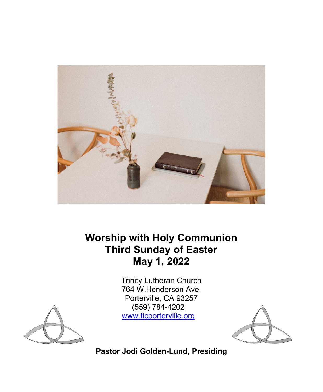

**Worship with Holy Communion Third Sunday of Easter May 1, 2022** 

> Trinity Lutheran Church 764 W.Henderson Ave. Porterville, CA 93257 (559) 784-4202 [www.tlcporterville.org](http://www.tlcporterville.org/)





**Pastor Jodi Golden-Lund, Presiding**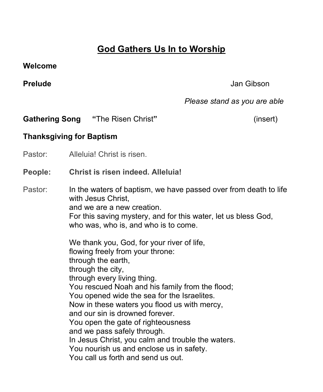# **God Gathers Us In to Worship**

#### **Welcome**

# **Prelude** Jan Gibson

# *Please stand as you are able*

**Gathering Song "**The Risen Christ**"** (insert)

# **Thanksgiving for Baptism**

Pastor: Alleluia! Christ is risen.

## **People: Christ is risen indeed. Alleluia!**

Pastor: In the waters of baptism, we have passed over from death to life with Jesus Christ. and we are a new creation. For this saving mystery, and for this water, let us bless God, who was, who is, and who is to come.

> We thank you, God, for your river of life, flowing freely from your throne: through the earth, through the city, through every living thing. You rescued Noah and his family from the flood; You opened wide the sea for the Israelites. Now in these waters you flood us with mercy, and our sin is drowned forever. You open the gate of righteousness and we pass safely through. In Jesus Christ, you calm and trouble the waters. You nourish us and enclose us in safety. You call us forth and send us out.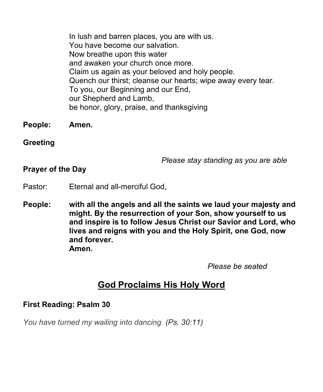In lush and barren places, you are with us. You have become our salvation. Now breathe upon this water and awaken your church once more. Claim us again as your beloved and holy people. Quench our thirst; cleanse our hearts; wipe away every tear. To you, our Beginning and our End, our Shepherd and Lamb, be honor, glory, praise, and thanksgiving

- **People: Amen.**
- **Greeting**

 *Please stay standing as you are able*

# **Prayer of the Day**

- Pastor: Eternal and all-merciful God,
- **People: with all the angels and all the saints we laud your majesty and might. By the resurrection of your Son, show yourself to us and inspire is to follow Jesus Christ our Savior and Lord, who lives and reigns with you and the Holy Spirit, one God, now and forever. Amen.**

 *Please be seated*

# **God Proclaims His Holy Word**

## **First Reading: Psalm 30**

*You have turned my wailing into dancing. (Ps. 30:11)*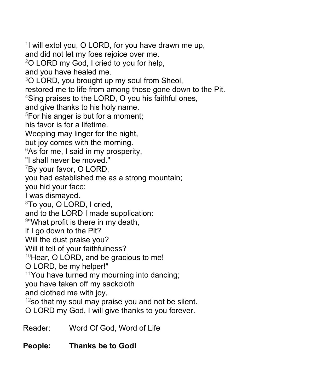$1$  will extol you, O LORD, for you have drawn me up, and did not let my foes rejoice over me. 2O LORD my God, I cried to you for help, and you have healed me.  $3$ O LORD, you brought up my soul from Sheol, restored me to life from among those gone down to the Pit. 4Sing praises to the LORD, O you his faithful ones, and give thanks to his holy name.  $5$ For his anger is but for a moment; his favor is for a lifetime. Weeping may linger for the night, but joy comes with the morning.  $6$ As for me, I said in my prosperity, "I shall never be moved."  $7$ By your favor, O LORD, you had established me as a strong mountain; you hid your face; I was dismayed. 8To you, O LORD, I cried, and to the LORD I made supplication: 9"What profit is there in my death, if I go down to the Pit? Will the dust praise you? Will it tell of your faithfulness?  $10$ Hear, O LORD, and be gracious to me! O LORD, be my helper!"  $11$ You have turned my mourning into dancing; you have taken off my sackcloth and clothed me with joy,  $12$ so that my soul may praise you and not be silent. O LORD my God, I will give thanks to you forever.

Reader: Word Of God, Word of Life

# **People: Thanks be to God!**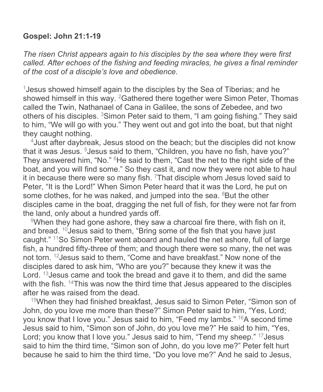## **Gospel: John 21:1-19**

*The risen Christ appears again to his disciples by the sea where they were first called. After echoes of the fishing and feeding miracles, he gives a final reminder of the cost of a disciple's love and obedience.* 

1Jesus showed himself again to the disciples by the Sea of Tiberias; and he showed himself in this way. <sup>2</sup>Gathered there together were Simon Peter, Thomas called the Twin, Nathanael of Cana in Galilee, the sons of Zebedee, and two others of his disciples. 3Simon Peter said to them, "I am going fishing." They said to him, "We will go with you." They went out and got into the boat, but that night they caught nothing.

4Just after daybreak, Jesus stood on the beach; but the disciples did not know that it was Jesus. <sup>5</sup>Jesus said to them, "Children, you have no fish, have you?" They answered him, "No." <sup>6</sup>He said to them, "Cast the net to the right side of the boat, and you will find some." So they cast it, and now they were not able to haul it in because there were so many fish.  $7$ That disciple whom Jesus loved said to Peter, "It is the Lord!" When Simon Peter heard that it was the Lord, he put on some clothes, for he was naked, and jumped into the sea.  $8$ But the other disciples came in the boat, dragging the net full of fish, for they were not far from the land, only about a hundred yards off.

<sup>9</sup>When they had gone ashore, they saw a charcoal fire there, with fish on it, and bread. 10Jesus said to them, "Bring some of the fish that you have just caught." 11So Simon Peter went aboard and hauled the net ashore, full of large fish, a hundred fifty-three of them; and though there were so many, the net was not torn. 12Jesus said to them, "Come and have breakfast." Now none of the disciples dared to ask him, "Who are you?" because they knew it was the Lord. <sup>13</sup> Jesus came and took the bread and gave it to them, and did the same with the fish. <sup>14</sup>This was now the third time that Jesus appeared to the disciples after he was raised from the dead.

<sup>15</sup>When they had finished breakfast, Jesus said to Simon Peter, "Simon son of John, do you love me more than these?" Simon Peter said to him, "Yes, Lord; you know that I love you." Jesus said to him, "Feed my lambs." 16A second time Jesus said to him, "Simon son of John, do you love me?" He said to him, "Yes, Lord; you know that I love you." Jesus said to him, "Tend my sheep." 17Jesus said to him the third time, "Simon son of John, do you love me?" Peter felt hurt because he said to him the third time, "Do you love me?" And he said to Jesus,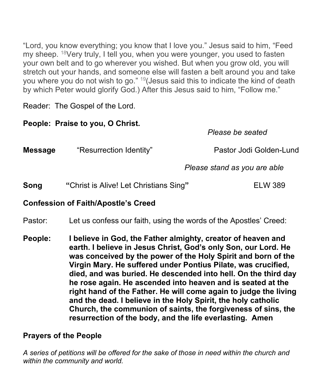"Lord, you know everything; you know that I love you." Jesus said to him, "Feed my sheep. 18Very truly, I tell you, when you were younger, you used to fasten your own belt and to go wherever you wished. But when you grow old, you will stretch out your hands, and someone else will fasten a belt around you and take you where you do not wish to go." 19(Jesus said this to indicate the kind of death by which Peter would glorify God.) After this Jesus said to him, "Follow me."

Reader: The Gospel of the Lord.

| People: Praise to you, O Christ.           |                                                                   |                              |  |  |
|--------------------------------------------|-------------------------------------------------------------------|------------------------------|--|--|
|                                            |                                                                   | Please be seated             |  |  |
| <b>Message</b>                             | "Resurrection Identity"                                           | Pastor Jodi Golden-Lund      |  |  |
|                                            |                                                                   | Please stand as you are able |  |  |
| Song                                       | "Christ is Alive! Let Christians Sing"                            | <b>ELW 389</b>               |  |  |
| <b>Confession of Faith/Apostle's Creed</b> |                                                                   |                              |  |  |
| Pastor:                                    | Let us confess our faith, using the words of the Apostles' Creed: |                              |  |  |

**People: I believe in God, the Father almighty, creator of heaven and earth. I believe in Jesus Christ, God's only Son, our Lord. He was conceived by the power of the Holy Spirit and born of the Virgin Mary. He suffered under Pontius Pilate, was crucified, died, and was buried. He descended into hell. On the third day he rose again. He ascended into heaven and is seated at the right hand of the Father. He will come again to judge the living and the dead. I believe in the Holy Spirit, the holy catholic Church, the communion of saints, the forgiveness of sins, the resurrection of the body, and the life everlasting. Amen**

# **Prayers of the People**

*A series of petitions will be offered for the sake of those in need within the church and within the community and world.*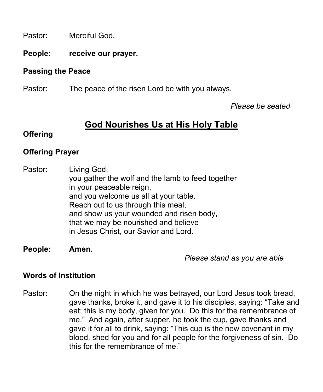Pastor: Merciful God,

**People: receive our prayer.** 

## **Passing the Peace**

Pastor: The peace of the risen Lord be with you always.

 *Please be seated*

# **God Nourishes Us at His Holy Table**

## **Offering**

# **Offering Prayer**

Pastor: Living God, you gather the wolf and the lamb to feed together in your peaceable reign, and you welcome us all at your table. Reach out to us through this meal, and show us your wounded and risen body, that we may be nourished and believe in Jesus Christ, our Savior and Lord.

### **People: Amen.**

 *Please stand as you are able*

# **Words of Institution**

Pastor: On the night in which he was betrayed, our Lord Jesus took bread, gave thanks, broke it, and gave it to his disciples, saying: "Take and eat; this is my body, given for you. Do this for the remembrance of me." And again, after supper, he took the cup, gave thanks and gave it for all to drink, saying: "This cup is the new covenant in my blood, shed for you and for all people for the forgiveness of sin. Do this for the remembrance of me."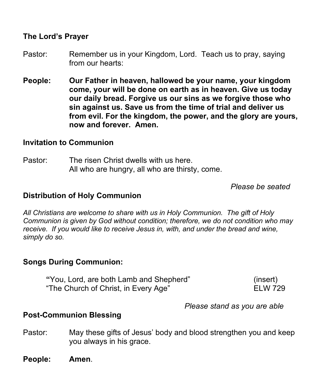## **The Lord's Prayer**

- Pastor: Remember us in your Kingdom, Lord. Teach us to pray, saying from our hearts:
- **People: Our Father in heaven, hallowed be your name, your kingdom come, your will be done on earth as in heaven. Give us today our daily bread. Forgive us our sins as we forgive those who sin against us. Save us from the time of trial and deliver us from evil. For the kingdom, the power, and the glory are yours, now and forever. Amen.**

#### **Invitation to Communion**

Pastor: The risen Christ dwells with us here. All who are hungry, all who are thirsty, come.

*Please be seated*

#### **Distribution of Holy Communion**

*All Christians are welcome to share with us in Holy Communion. The gift of Holy Communion is given by God without condition; therefore, we do not condition who may receive. If you would like to receive Jesus in, with, and under the bread and wine, simply do so.*

### **Songs During Communion:**

**"**You, Lord, are both Lamb and Shepherd" (insert) "The Church of Christ, in Every Age" ELW 729

*Please stand as you are able*

#### **Post-Communion Blessing**

- Pastor: May these gifts of Jesus' body and blood strengthen you and keep you always in his grace.
- **People: Amen**.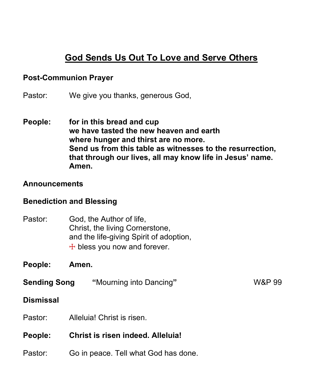# **God Sends Us Out To Love and Serve Others**

#### **Post-Communion Prayer**

Pastor: We give you thanks, generous God,

**People: for in this bread and cup we have tasted the new heaven and earth where hunger and thirst are no more. Send us from this table as witnesses to the resurrection, that through our lives, all may know life in Jesus' name. Amen.**

#### **Announcements**

### **Benediction and Blessing**

- Pastor: God, the Author of life, Christ, the living Cornerstone, and the life-giving Spirit of adoption,  $+$  bless you now and forever.
- **People: Amen.**
- **Sending Song "**Mourning into Dancing**"**W&P 99

#### **Dismissal**

- Pastor: Alleluia! Christ is risen.
- **People: Christ is risen indeed. Alleluia!**
- Pastor: Go in peace. Tell what God has done.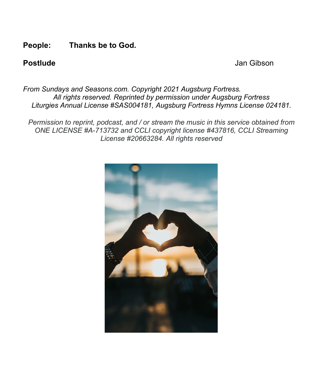## **People: Thanks be to God.**

**Postlude Domain Contract Contract Contract Contract Contract Contract Contract Contract Contract Contract Contract Contract Contract Contract Contract Contract Contract Contract Contract Contract Contract Contract Contr** 

*From Sundays and Seasons.com. Copyright 2021 Augsburg Fortress. All rights reserved. Reprinted by permission under Augsburg Fortress Liturgies Annual License #SAS004181, Augsburg Fortress Hymns License 024181.*

*Permission to reprint, podcast, and / or stream the music in this service obtained from ONE LICENSE #A-713732 and CCLI copyright license #437816, CCLI Streaming License #20663284. All rights reserved*

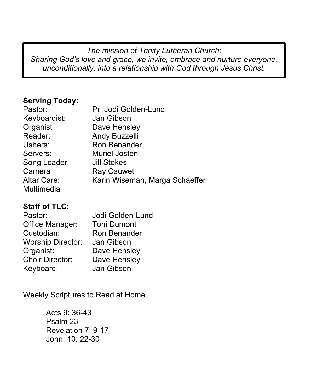*The mission of Trinity Lutheran Church: Sharing God's love and grace, we invite, embrace and nurture everyone, unconditionally, into a relationship with God through Jesus Christ.*

# **Serving Today:**

| Pastor:            | Pr. Jodi Golden-Lund           |
|--------------------|--------------------------------|
| Keyboardist:       | Jan Gibson                     |
| Organist           | Dave Hensley                   |
| Reader:            | Andy Buzzelli                  |
| Ushers:            | Ron Benander                   |
| Servers:           | Muriel Josten                  |
| Song Leader        | <b>Jill Stokes</b>             |
| Camera             | <b>Ray Cauwet</b>              |
| <b>Altar Care:</b> | Karin Wiseman, Marga Schaeffer |
| Multimedia         |                                |

# **Staff of TLC:**

| Pastor:                  | Jodi Golden-Lund   |
|--------------------------|--------------------|
| Office Manager:          | <b>Toni Dumont</b> |
| Custodian:               | Ron Benander       |
| <b>Worship Director:</b> | Jan Gibson         |
| Organist:                | Dave Hensley       |
| <b>Choir Director:</b>   | Dave Hensley       |
| Keyboard:                | Jan Gibson         |

Weekly Scriptures to Read at Home

Acts 9: 36-43 Psalm 23 Revelation 7: 9-17 John 10: 22-30